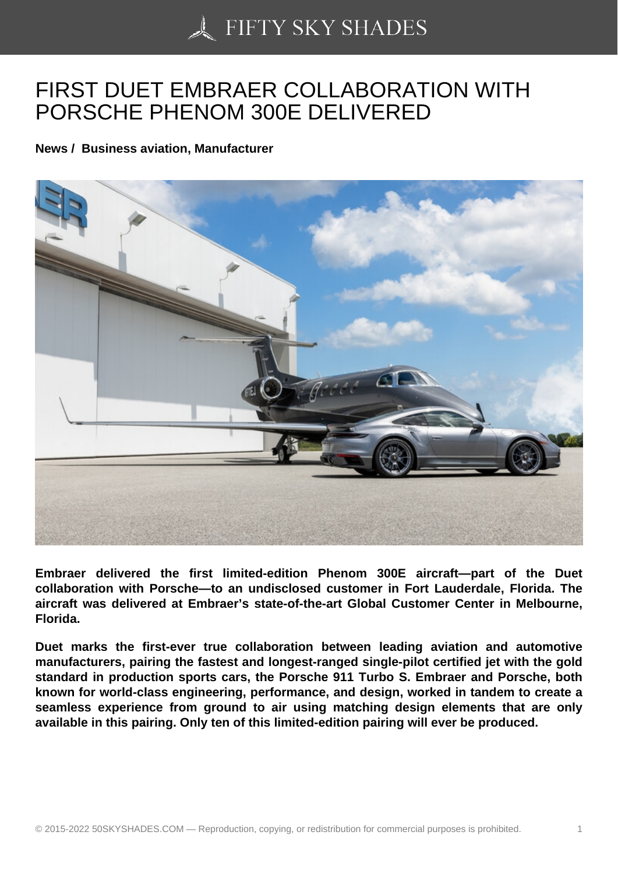## [FIRST DUET EMBRAE](https://50skyshades.com)R COLLABORATION WITH PORSCHE PHENOM 300E DELIVERED

News / Business aviation, Manufacturer

Embraer delivered the first limited-edition Phenom 300E aircraft—part of the Duet collaboration with Porsche—to an undisclosed customer in Fort Lauderdale, Florida. The aircraft was delivered at Embraer's state-of-the-art Global Customer Center in Melbourne, Florida.

Duet marks the first-ever true collaboration between leading aviation and automotive manufacturers, pairing the fastest and longest-ranged single-pilot certified jet with the gold standard in production sports cars, the Porsche 911 Turbo S. Embraer and Porsche, both known for world-class engineering, performance, and design, worked in tandem to create a seamless experience from ground to air using matching design elements that are only available in this pairing. Only ten of this limited-edition pairing will ever be produced.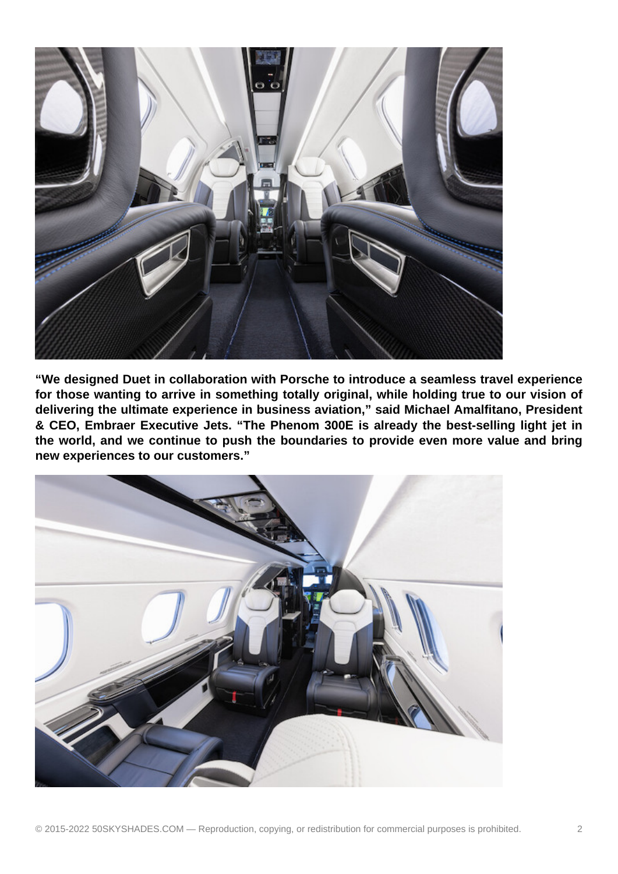

**"We designed Duet in collaboration with Porsche to introduce a seamless travel experience for those wanting to arrive in something totally original, while holding true to our vision of delivering the ultimate experience in business aviation," said Michael Amalfitano, President & CEO, Embraer Executive Jets. "The Phenom 300E is already the best-selling light jet in the world, and we continue to push the boundaries to provide even more value and bring new experiences to our customers."**

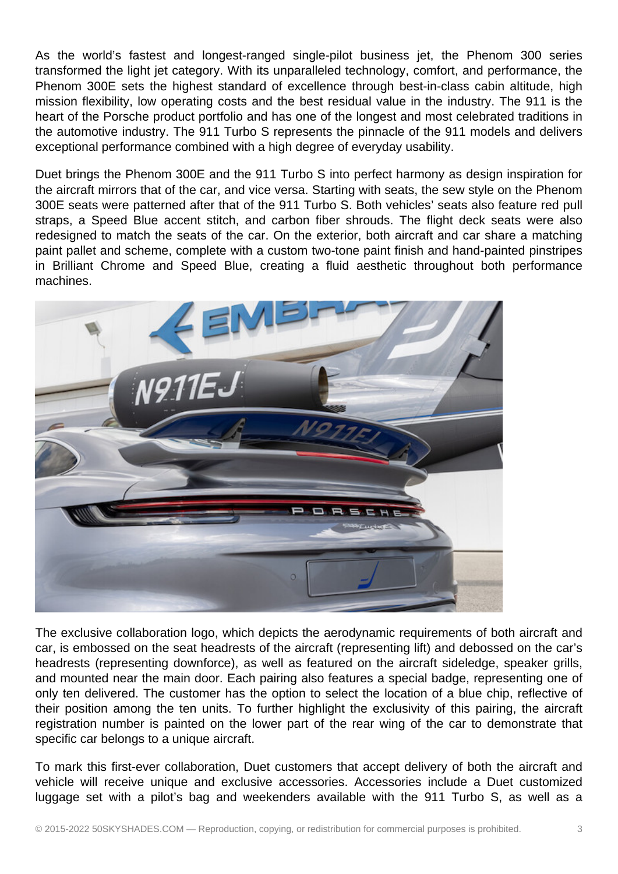As the world's fastest and longest-ranged single-pilot business jet, the Phenom 300 series transformed the light jet category. With its unparalleled technology, comfort, and performance, the Phenom 300E sets the highest standard of excellence through best-in-class cabin altitude, high mission flexibility, low operating costs and the best residual value in the industry. The 911 is the heart of the Porsche product portfolio and has one of the longest and most celebrated traditions in the automotive industry. The 911 Turbo S represents the pinnacle of the 911 models and delivers exceptional performance combined with a high degree of everyday usability.

Duet brings the Phenom 300E and the 911 Turbo S into perfect harmony as design inspiration for the aircraft mirrors that of the car, and vice versa. Starting with seats, the sew style on the Phenom 300E seats were patterned after that of the 911 Turbo S. Both vehicles' seats also feature red pull straps, a Speed Blue accent stitch, and carbon fiber shrouds. The flight deck seats were also redesigned to match the seats of the car. On the exterior, both aircraft and car share a matching paint pallet and scheme, complete with a custom two-tone paint finish and hand-painted pinstripes in Brilliant Chrome and Speed Blue, creating a fluid aesthetic throughout both performance machines.



The exclusive collaboration logo, which depicts the aerodynamic requirements of both aircraft and car, is embossed on the seat headrests of the aircraft (representing lift) and debossed on the car's headrests (representing downforce), as well as featured on the aircraft sideledge, speaker grills, and mounted near the main door. Each pairing also features a special badge, representing one of only ten delivered. The customer has the option to select the location of a blue chip, reflective of their position among the ten units. To further highlight the exclusivity of this pairing, the aircraft registration number is painted on the lower part of the rear wing of the car to demonstrate that specific car belongs to a unique aircraft.

To mark this first-ever collaboration, Duet customers that accept delivery of both the aircraft and vehicle will receive unique and exclusive accessories. Accessories include a Duet customized luggage set with a pilot's bag and weekenders available with the 911 Turbo S, as well as a